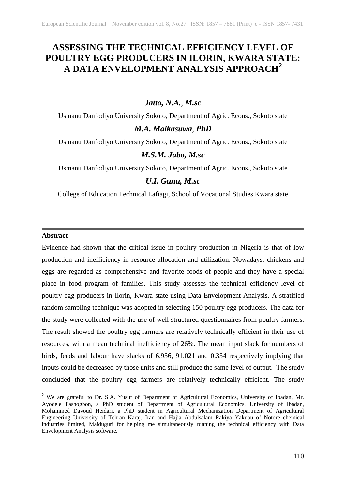# **ASSESSING THE TECHNICAL EFFICIENCY LEVEL OF POULTRY EGG PRODUCERS IN ILORIN, KWARA STATE: A DATA ENVELOPMENT ANALYSIS APPROACH[2](#page-0-0)**

# *Jatto, N.A., M.sc*

Usmanu Danfodiyo University Sokoto, Department of Agric. Econs., Sokoto state *M.A. Maikasuwa, PhD*

Usmanu Danfodiyo University Sokoto, Department of Agric. Econs., Sokoto state

# *M.S.M. Jabo, M.sc*

Usmanu Danfodiyo University Sokoto, Department of Agric. Econs., Sokoto state

## *U.I. Gunu, M.sc*

College of Education Technical Lafiagi, School of Vocational Studies Kwara state

## **Abstract**

Evidence had shown that the critical issue in poultry production in Nigeria is that of low production and inefficiency in resource allocation and utilization. Nowadays, chickens and eggs are regarded as comprehensive and favorite foods of people and they have a special place in food program of families. This study assesses the technical efficiency level of poultry egg producers in Ilorin, Kwara state using Data Envelopment Analysis. A stratified random sampling technique was adopted in selecting 150 poultry egg producers. The data for the study were collected with the use of well structured questionnaires from poultry farmers. The result showed the poultry egg farmers are relatively technically efficient in their use of resources, with a mean technical inefficiency of 26%. The mean input slack for numbers of birds, feeds and labour have slacks of 6.936, 91.021 and 0.334 respectively implying that inputs could be decreased by those units and still produce the same level of output. The study concluded that the poultry egg farmers are relatively technically efficient. The study

<span id="page-0-0"></span><sup>&</sup>lt;sup>2</sup> We are grateful to Dr. S.A. Yusuf of Department of Agricultural Economics, University of Ibadan, Mr. Ayodele Fashogbon, a PhD student of Department of Agricultural Economics, University of Ibadan, Mohammed Davoud Heidari, a PhD student in Agricultural Mechanization Department of Agricultural Engineering University of Tehran Karaj, Iran and Hajia Abdulsalam Rakiya Yakubu of Notore chemical industries limited, Maiduguri for helping me simultaneously running the technical efficiency with Data Envelopment Analysis software.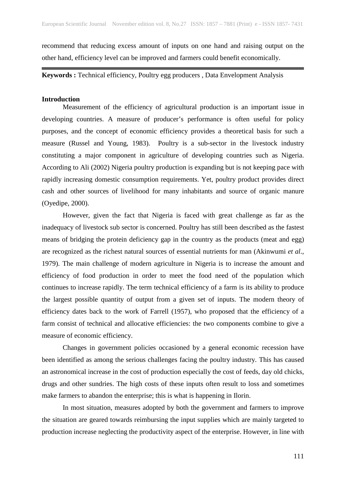recommend that reducing excess amount of inputs on one hand and raising output on the other hand, efficiency level can be improved and farmers could benefit economically.

**Keywords :** Technical efficiency, Poultry egg producers , Data Envelopment Analysis

## **Introduction**

Measurement of the efficiency of agricultural production is an important issue in developing countries. A measure of producer's performance is often useful for policy purposes, and the concept of economic efficiency provides a theoretical basis for such a measure (Russel and Young, 1983). Poultry is a sub-sector in the livestock industry constituting a major component in agriculture of developing countries such as Nigeria. According to Ali (2002) Nigeria poultry production is expanding but is not keeping pace with rapidly increasing domestic consumption requirements. Yet, poultry product provides direct cash and other sources of livelihood for many inhabitants and source of organic manure (Oyedipe, 2000).

However, given the fact that Nigeria is faced with great challenge as far as the inadequacy of livestock sub sector is concerned. Poultry has still been described as the fastest means of bridging the protein deficiency gap in the country as the products (meat and egg) are recognized as the richest natural sources of essential nutrients for man (Akinwumi *et al*., 1979). The main challenge of modern agriculture in Nigeria is to increase the amount and efficiency of food production in order to meet the food need of the population which continues to increase rapidly. The term technical efficiency of a farm is its ability to produce the largest possible quantity of output from a given set of inputs. The modern theory of efficiency dates back to the work of Farrell (1957), who proposed that the efficiency of a farm consist of technical and allocative efficiencies: the two components combine to give a measure of economic efficiency.

Changes in government policies occasioned by a general economic recession have been identified as among the serious challenges facing the poultry industry. This has caused an astronomical increase in the cost of production especially the cost of feeds, day old chicks, drugs and other sundries. The high costs of these inputs often result to loss and sometimes make farmers to abandon the enterprise; this is what is happening in Ilorin.

In most situation, measures adopted by both the government and farmers to improve the situation are geared towards reimbursing the input supplies which are mainly targeted to production increase neglecting the productivity aspect of the enterprise. However, in line with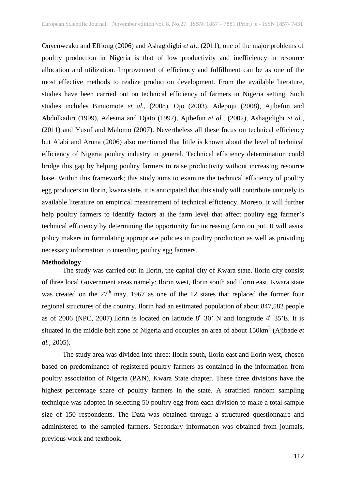Onyenweaku and Effiong (2006) and Ashagidigbi *et al*., (2011), one of the major problems of poultry production in Nigeria is that of low productivity and inefficiency in resource allocation and utilization. Improvement of efficiency and fulfillment can be as one of the most effective methods to realize production development. From the available literature, studies have been carried out on technical efficiency of farmers in Nigeria setting. Such studies includes Binuomote *et al.,* (2008), Ojo (2003), Adepoju (2008), Ajibefun and Abdulkadiri (1999), Adesina and Djato (1997), Ajibefun *et al.,* (2002), Ashagidigbi *et al.,* (2011) and Yusuf and Malomo (2007). Nevertheless all these focus on technical efficiency but Alabi and Aruna (2006) also mentioned that little is known about the level of technical efficiency of Nigeria poultry industry in general. Technical efficiency determination could bridge this gap by helping poultry farmers to raise productivity without increasing resource base. Within this framework; this study aims to examine the technical efficiency of poultry egg producers in Ilorin, kwara state. it is anticipated that this study will contribute uniquely to available literature on empirical measurement of technical efficiency. Moreso, it will further help poultry farmers to identify factors at the farm level that affect poultry egg farmer's technical efficiency by determining the opportunity for increasing farm output. It will assist policy makers in formulating appropriate policies in poultry production as well as providing necessary information to intending poultry egg farmers.

#### **Methodology**

The study was carried out in Ilorin, the capital city of Kwara state. Ilorin city consist of three local Government areas namely: Ilorin west, Ilorin south and Ilorin east. Kwara state was created on the  $27<sup>th</sup>$  may, 1967 as one of the 12 states that replaced the former four regional structures of the country. Ilorin had an estimated population of about 847,582 people as of 2006 (NPC, 2007). Ilorin is located on latitude  $8^{\circ}$  30' N and longitude  $4^{\circ}$  35'E. It is situated in the middle belt zone of Nigeria and occupies an area of about 150km<sup>2</sup> (Ajibade *et al.,* 2005).

The study area was divided into three: Ilorin south, Ilorin east and Ilorin west, chosen based on predominance of registered poultry farmers as contained in the information from poultry association of Nigeria (PAN), Kwara State chapter. These three divisions have the highest percentage share of poultry farmers in the state. A stratified random sampling technique was adopted in selecting 50 poultry egg from each division to make a total sample size of 150 respondents. The Data was obtained through a structured questionnaire and administered to the sampled farmers. Secondary information was obtained from journals, previous work and textbook.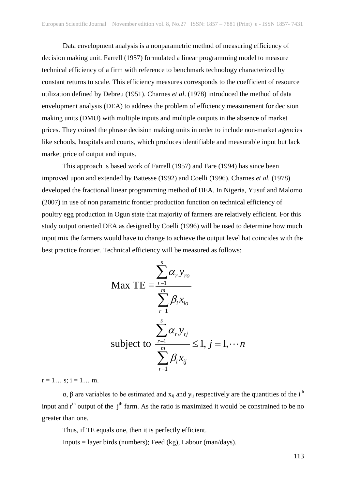Data envelopment analysis is a nonparametric method of measuring efficiency of decision making unit. Farrell (1957) formulated a linear programming model to measure technical efficiency of a firm with reference to benchmark technology characterized by constant returns to scale. This efficiency measures corresponds to the coefficient of resource utilization defined by Debreu (1951). Charnes *et al*. (1978) introduced the method of data envelopment analysis (DEA) to address the problem of efficiency measurement for decision making units (DMU) with multiple inputs and multiple outputs in the absence of market prices. They coined the phrase decision making units in order to include non-market agencies like schools, hospitals and courts, which produces identifiable and measurable input but lack market price of output and inputs.

This approach is based work of Farrell (1957) and Fare (1994) has since been improved upon and extended by Battesse (1992) and Coelli (1996). Charnes *et al.* (1978) developed the fractional linear programming method of DEA. In Nigeria, Yusuf and Malomo (2007) in use of non parametric frontier production function on technical efficiency of poultry egg production in Ogun state that majority of farmers are relatively efficient. For this study output oriented DEA as designed by Coelli (1996) will be used to determine how much input mix the farmers would have to change to achieve the output level hat coincides with the best practice frontier. Technical efficiency will be measured as follows:

$$
\text{Max TE} = \frac{\sum_{r=1}^{s} \alpha_r y_{ro}}{\sum_{r=1}^{m} \beta_i x_{io}}
$$
\n
$$
\text{subject to } \frac{\sum_{r=1}^{s} \alpha_r y_{rj}}{\sum_{r=1}^{m} \beta_i x_{ij}} \le 1, j = 1, \dots n
$$

 $r = 1...$  s;  $i = 1...$  m.

α, β are variables to be estimated and  $x_{ij}$  and  $y_{ij}$  respectively are the quantities of the i<sup>th</sup> input and  $r<sup>th</sup>$  output of the  $j<sup>th</sup>$  farm. As the ratio is maximized it would be constrained to be no greater than one.

Thus, if TE equals one, then it is perfectly efficient.

Inputs = layer birds (numbers); Feed (kg), Labour (man/days).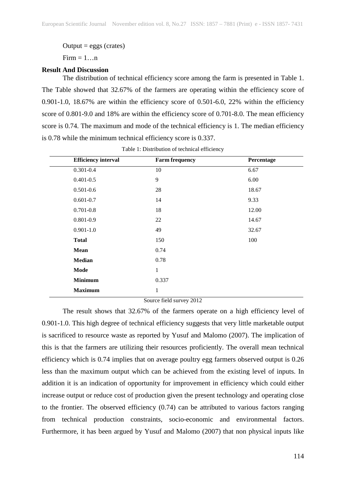$Output = eggs$  (crates)

 $Firm = 1...n$ 

#### **Result And Discussion**

The distribution of technical efficiency score among the farm is presented in Table 1. The Table showed that 32.67% of the farmers are operating within the efficiency score of 0.901-1.0, 18.67% are within the efficiency score of 0.501-6.0, 22% within the efficiency score of 0.801-9.0 and 18% are within the efficiency score of 0.701-8.0. The mean efficiency score is 0.74. The maximum and mode of the technical efficiency is 1. The median efficiency is 0.78 while the minimum technical efficiency score is 0.337.

| <b>Efficiency interval</b> | <b>Farm frequency</b> | Percentage |
|----------------------------|-----------------------|------------|
| $0.301 - 0.4$              | 10                    | 6.67       |
| $0.401 - 0.5$              | 9                     | 6.00       |
| $0.501 - 0.6$              | 28                    | 18.67      |
| $0.601 - 0.7$              | 14                    | 9.33       |
| $0.701 - 0.8$              | 18                    | 12.00      |
| $0.801 - 0.9$              | 22                    | 14.67      |
| $0.901 - 1.0$              | 49                    | 32.67      |
| <b>Total</b>               | 150                   | 100        |
| <b>Mean</b>                | 0.74                  |            |
| <b>Median</b>              | 0.78                  |            |
| Mode                       | 1                     |            |
| <b>Minimum</b>             | 0.337                 |            |
| <b>Maximum</b>             | 1                     |            |

Table 1: Distribution of technical efficiency

Source field survey 2012

The result shows that 32.67% of the farmers operate on a high efficiency level of 0.901-1.0. This high degree of technical efficiency suggests that very little marketable output is sacrificed to resource waste as reported by Yusuf and Malomo (2007). The implication of this is that the farmers are utilizing their resources proficiently. The overall mean technical efficiency which is 0.74 implies that on average poultry egg farmers observed output is 0.26 less than the maximum output which can be achieved from the existing level of inputs. In addition it is an indication of opportunity for improvement in efficiency which could either increase output or reduce cost of production given the present technology and operating close to the frontier. The observed efficiency (0.74) can be attributed to various factors ranging from technical production constraints, socio-economic and environmental factors. Furthermore, it has been argued by Yusuf and Malomo (2007) that non physical inputs like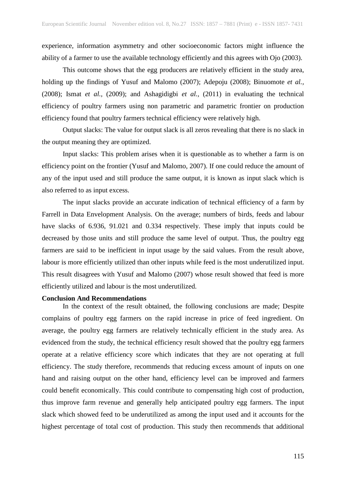experience, information asymmetry and other socioeconomic factors might influence the ability of a farmer to use the available technology efficiently and this agrees with Ojo (2003).

This outcome shows that the egg producers are relatively efficient in the study area, holding up the findings of Yusuf and Malomo (2007); Adepoju (2008); Binuomote *et al.,*  (2008); Ismat *et al.,* (2009); and Ashagidigbi *et al.,* (2011) in evaluating the technical efficiency of poultry farmers using non parametric and parametric frontier on production efficiency found that poultry farmers technical efficiency were relatively high.

Output slacks: The value for output slack is all zeros revealing that there is no slack in the output meaning they are optimized.

Input slacks: This problem arises when it is questionable as to whether a farm is on efficiency point on the frontier (Yusuf and Malomo, 2007). If one could reduce the amount of any of the input used and still produce the same output, it is known as input slack which is also referred to as input excess.

The input slacks provide an accurate indication of technical efficiency of a farm by Farrell in Data Envelopment Analysis. On the average; numbers of birds, feeds and labour have slacks of 6.936, 91.021 and 0.334 respectively. These imply that inputs could be decreased by those units and still produce the same level of output. Thus, the poultry egg farmers are said to be inefficient in input usage by the said values. From the result above, labour is more efficiently utilized than other inputs while feed is the most underutilized input. This result disagrees with Yusuf and Malomo (2007) whose result showed that feed is more efficiently utilized and labour is the most underutilized.

#### **Conclusion And Recommendations**

In the context of the result obtained, the following conclusions are made; Despite complains of poultry egg farmers on the rapid increase in price of feed ingredient. On average, the poultry egg farmers are relatively technically efficient in the study area. As evidenced from the study, the technical efficiency result showed that the poultry egg farmers operate at a relative efficiency score which indicates that they are not operating at full efficiency. The study therefore, recommends that reducing excess amount of inputs on one hand and raising output on the other hand, efficiency level can be improved and farmers could benefit economically. This could contribute to compensating high cost of production, thus improve farm revenue and generally help anticipated poultry egg farmers. The input slack which showed feed to be underutilized as among the input used and it accounts for the highest percentage of total cost of production. This study then recommends that additional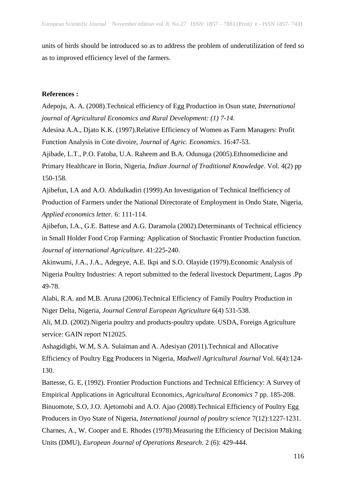units of birds should be introduced so as to address the problem of underutilization of feed so as to improved efficiency level of the farmers.

## **References :**

Adepoju, A. A. (2008).Technical efficiency of Egg Production in Osun state, *International journal of Agricultural Economics and Rural Development: (1) 7-14.*

Adesina A.A., Djato K.K. (1997).Relative Efficiency of Women as Farm Managers: Profit Function Analysis in Cote divoire, *Journal of Agric. Economics*. 16:47-53.

Ajibade, L.T., P.O. Fatoba, U.A. Raheem and B.A. Odunuga (2005).Ethnomedicine and Primary Healthcare in Ilorin, Nigeria, *Indian Journal of Traditional Knowledge*. Vol. 4(2) pp 150-158.

Ajibefun, I.A and A.O. Abdulkadiri (1999).An Investigation of Technical Inefficiency of Production of Farmers under the National Directorate of Employment in Ondo State, Nigeria, *Applied economics letter.* 6: 111-114.

Ajibefun, I.A., G.E. Battese and A.G. Daramola (2002).Determinants of Technical efficiency in Small Holder Food Crop Farming: Application of Stochastic Frontier Production function. *Journal of international Agriculture*. 41:225-240.

Akinwumi, J.A., J.A., Adegeye, A.E. Ikpi and S.O. Olayide (1979).Economic Analysis of Nigeria Poultry Industries: A report submitted to the federal livestock Department, Lagos .Pp 49-78.

Alabi, R.A. and M.B. Aruna (2006).Technical Efficiency of Family Poultry Production in Niger Delta, Nigeria, *Journal Central European Agriculture* 6(4) 531-538.

Ali, M.D. (2002).Nigeria poultry and products-poultry update. USDA, Foreign Agriculture service: GAIN report N12025.

Ashagidigbi, W.M, S.A. Sulaiman and A. Adesiyan (2011).Technical and Allocative Efficiency of Poultry Egg Producers in Nigeria, *Madwell Agricultural Journal* Vol. 6(4):124- 130.

Battesse, G. E, (1992). Frontier Production Functions and Technical Efficiency: A Survey of Empirical Applications in Agricultural Economics, *Agricultural Economics* 7 pp. 185-208. Binuomote, S.O, J.O. Ajetomobi and A.O. Ajao (2008).Technical Efficiency of Poultry Egg Producers in Oyo State of Nigeria, *International journal of poultry science* 7(12):1227-1231. Charnes, A., W. Cooper and E. Rhodes (1978).Measuring the Efficiency of Decision Making Units (DMU), *European Journal of Operations Research*. 2 (6): 429-444.